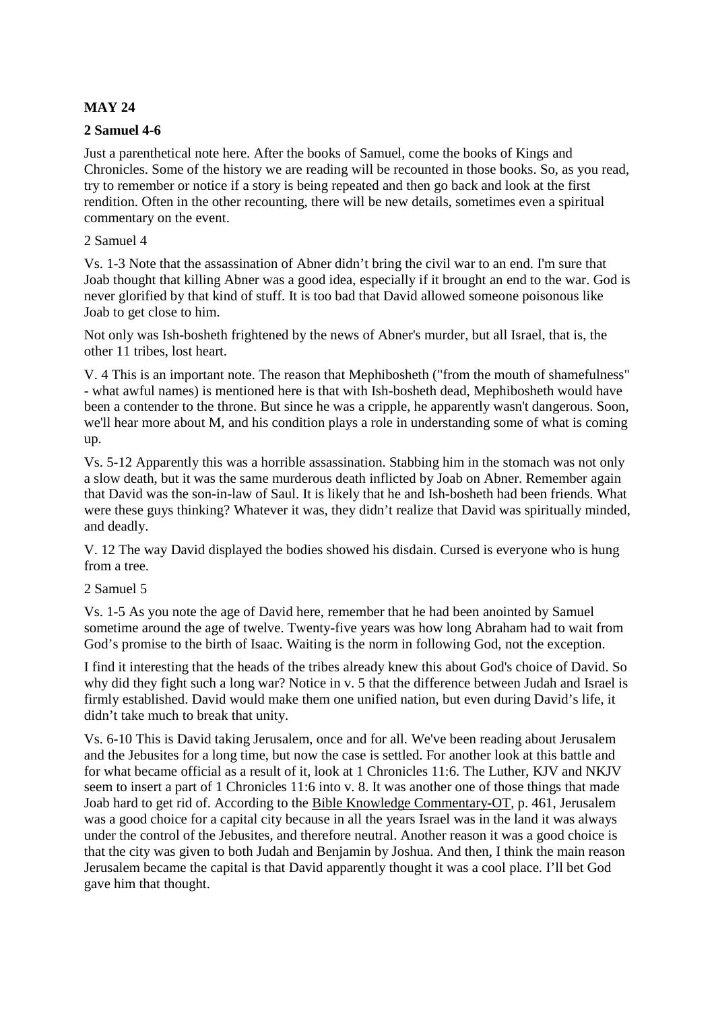# **MAY 24**

# **2 Samuel 4-6**

Just a parenthetical note here. After the books of Samuel, come the books of Kings and Chronicles. Some of the history we are reading will be recounted in those books. So, as you read, try to remember or notice if a story is being repeated and then go back and look at the first rendition. Often in the other recounting, there will be new details, sometimes even a spiritual commentary on the event.

### 2 Samuel 4

Vs. 1-3 Note that the assassination of Abner didn't bring the civil war to an end. I'm sure that Joab thought that killing Abner was a good idea, especially if it brought an end to the war. God is never glorified by that kind of stuff. It is too bad that David allowed someone poisonous like Joab to get close to him.

Not only was Ish-bosheth frightened by the news of Abner's murder, but all Israel, that is, the other 11 tribes, lost heart.

V. 4 This is an important note. The reason that Mephibosheth ("from the mouth of shamefulness" - what awful names) is mentioned here is that with Ish-bosheth dead, Mephibosheth would have been a contender to the throne. But since he was a cripple, he apparently wasn't dangerous. Soon, we'll hear more about M, and his condition plays a role in understanding some of what is coming up.

Vs. 5-12 Apparently this was a horrible assassination. Stabbing him in the stomach was not only a slow death, but it was the same murderous death inflicted by Joab on Abner. Remember again that David was the son-in-law of Saul. It is likely that he and Ish-bosheth had been friends. What were these guys thinking? Whatever it was, they didn't realize that David was spiritually minded, and deadly.

V. 12 The way David displayed the bodies showed his disdain. Cursed is everyone who is hung from a tree.

### 2 Samuel 5

Vs. 1-5 As you note the age of David here, remember that he had been anointed by Samuel sometime around the age of twelve. Twenty-five years was how long Abraham had to wait from God's promise to the birth of Isaac. Waiting is the norm in following God, not the exception.

I find it interesting that the heads of the tribes already knew this about God's choice of David. So why did they fight such a long war? Notice in v. 5 that the difference between Judah and Israel is firmly established. David would make them one unified nation, but even during David's life, it didn't take much to break that unity.

Vs. 6-10 This is David taking Jerusalem, once and for all. We've been reading about Jerusalem and the Jebusites for a long time, but now the case is settled. For another look at this battle and for what became official as a result of it, look at 1 Chronicles 11:6. The Luther, KJV and NKJV seem to insert a part of 1 Chronicles 11:6 into v. 8. It was another one of those things that made Joab hard to get rid of. According to the Bible Knowledge Commentary-OT, p. 461, Jerusalem was a good choice for a capital city because in all the years Israel was in the land it was always under the control of the Jebusites, and therefore neutral. Another reason it was a good choice is that the city was given to both Judah and Benjamin by Joshua. And then, I think the main reason Jerusalem became the capital is that David apparently thought it was a cool place. I'll bet God gave him that thought.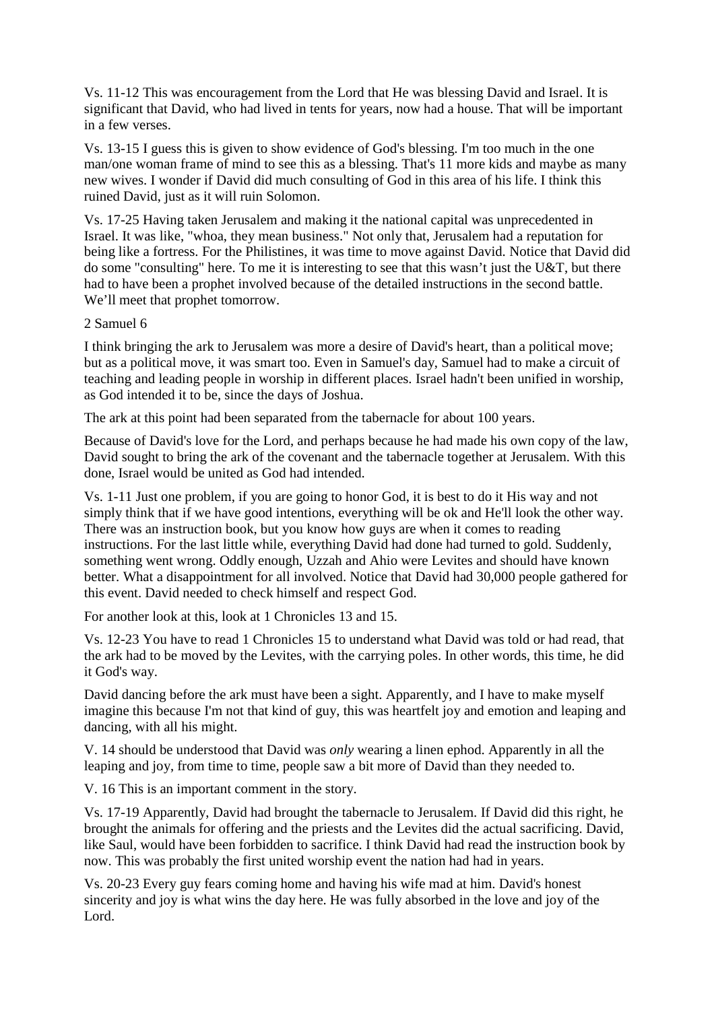Vs. 11-12 This was encouragement from the Lord that He was blessing David and Israel. It is significant that David, who had lived in tents for years, now had a house. That will be important in a few verses.

Vs. 13-15 I guess this is given to show evidence of God's blessing. I'm too much in the one man/one woman frame of mind to see this as a blessing. That's 11 more kids and maybe as many new wives. I wonder if David did much consulting of God in this area of his life. I think this ruined David, just as it will ruin Solomon.

Vs. 17-25 Having taken Jerusalem and making it the national capital was unprecedented in Israel. It was like, "whoa, they mean business." Not only that, Jerusalem had a reputation for being like a fortress. For the Philistines, it was time to move against David. Notice that David did do some "consulting" here. To me it is interesting to see that this wasn't just the U&T, but there had to have been a prophet involved because of the detailed instructions in the second battle. We'll meet that prophet tomorrow.

### 2 Samuel 6

I think bringing the ark to Jerusalem was more a desire of David's heart, than a political move; but as a political move, it was smart too. Even in Samuel's day, Samuel had to make a circuit of teaching and leading people in worship in different places. Israel hadn't been unified in worship, as God intended it to be, since the days of Joshua.

The ark at this point had been separated from the tabernacle for about 100 years.

Because of David's love for the Lord, and perhaps because he had made his own copy of the law, David sought to bring the ark of the covenant and the tabernacle together at Jerusalem. With this done, Israel would be united as God had intended.

Vs. 1-11 Just one problem, if you are going to honor God, it is best to do it His way and not simply think that if we have good intentions, everything will be ok and He'll look the other way. There was an instruction book, but you know how guys are when it comes to reading instructions. For the last little while, everything David had done had turned to gold. Suddenly, something went wrong. Oddly enough, Uzzah and Ahio were Levites and should have known better. What a disappointment for all involved. Notice that David had 30,000 people gathered for this event. David needed to check himself and respect God.

For another look at this, look at 1 Chronicles 13 and 15.

Vs. 12-23 You have to read 1 Chronicles 15 to understand what David was told or had read, that the ark had to be moved by the Levites, with the carrying poles. In other words, this time, he did it God's way.

David dancing before the ark must have been a sight. Apparently, and I have to make myself imagine this because I'm not that kind of guy, this was heartfelt joy and emotion and leaping and dancing, with all his might.

V. 14 should be understood that David was *only* wearing a linen ephod. Apparently in all the leaping and joy, from time to time, people saw a bit more of David than they needed to.

V. 16 This is an important comment in the story.

Vs. 17-19 Apparently, David had brought the tabernacle to Jerusalem. If David did this right, he brought the animals for offering and the priests and the Levites did the actual sacrificing. David, like Saul, would have been forbidden to sacrifice. I think David had read the instruction book by now. This was probably the first united worship event the nation had had in years.

Vs. 20-23 Every guy fears coming home and having his wife mad at him. David's honest sincerity and joy is what wins the day here. He was fully absorbed in the love and joy of the Lord.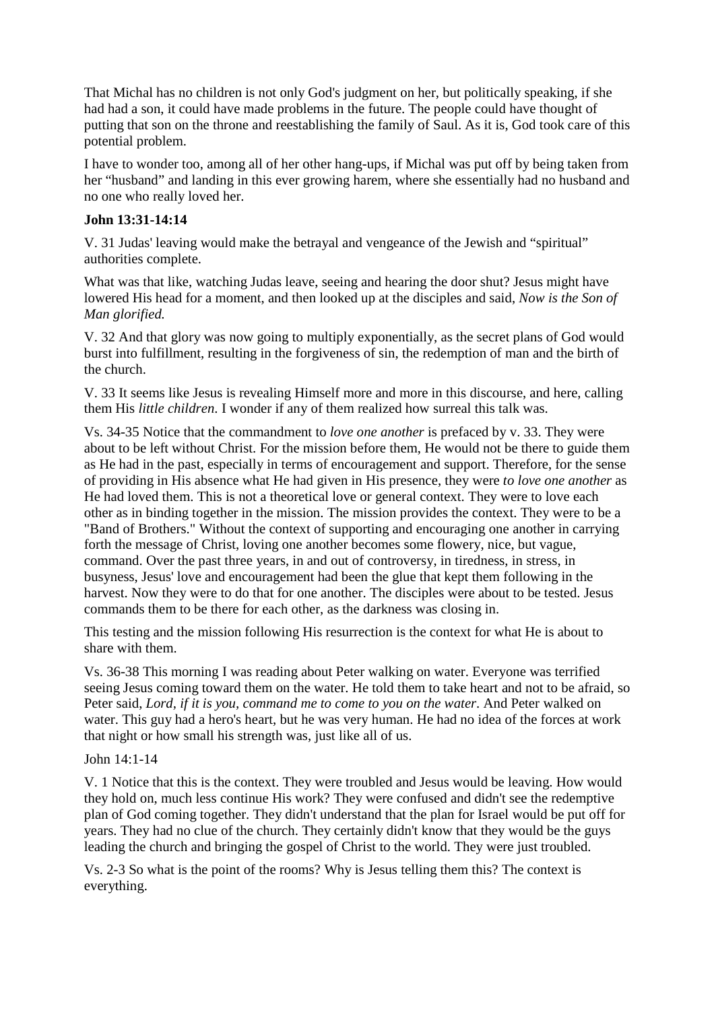That Michal has no children is not only God's judgment on her, but politically speaking, if she had had a son, it could have made problems in the future. The people could have thought of putting that son on the throne and reestablishing the family of Saul. As it is, God took care of this potential problem.

I have to wonder too, among all of her other hang-ups, if Michal was put off by being taken from her "husband" and landing in this ever growing harem, where she essentially had no husband and no one who really loved her.

# **John 13:31-14:14**

V. 31 Judas' leaving would make the betrayal and vengeance of the Jewish and "spiritual" authorities complete.

What was that like, watching Judas leave, seeing and hearing the door shut? Jesus might have lowered His head for a moment, and then looked up at the disciples and said, *Now is the Son of Man glorified.*

V. 32 And that glory was now going to multiply exponentially, as the secret plans of God would burst into fulfillment, resulting in the forgiveness of sin, the redemption of man and the birth of the church.

V. 33 It seems like Jesus is revealing Himself more and more in this discourse, and here, calling them His *little children*. I wonder if any of them realized how surreal this talk was.

Vs. 34-35 Notice that the commandment to *love one another* is prefaced by v. 33. They were about to be left without Christ. For the mission before them, He would not be there to guide them as He had in the past, especially in terms of encouragement and support. Therefore, for the sense of providing in His absence what He had given in His presence, they were *to love one another* as He had loved them. This is not a theoretical love or general context. They were to love each other as in binding together in the mission. The mission provides the context. They were to be a "Band of Brothers." Without the context of supporting and encouraging one another in carrying forth the message of Christ, loving one another becomes some flowery, nice, but vague, command. Over the past three years, in and out of controversy, in tiredness, in stress, in busyness, Jesus' love and encouragement had been the glue that kept them following in the harvest. Now they were to do that for one another. The disciples were about to be tested. Jesus commands them to be there for each other, as the darkness was closing in.

This testing and the mission following His resurrection is the context for what He is about to share with them.

Vs. 36-38 This morning I was reading about Peter walking on water. Everyone was terrified seeing Jesus coming toward them on the water. He told them to take heart and not to be afraid, so Peter said, *Lord, if it is you, command me to come to you on the water*. And Peter walked on water. This guy had a hero's heart, but he was very human. He had no idea of the forces at work that night or how small his strength was, just like all of us.

# John 14:1-14

V. 1 Notice that this is the context. They were troubled and Jesus would be leaving. How would they hold on, much less continue His work? They were confused and didn't see the redemptive plan of God coming together. They didn't understand that the plan for Israel would be put off for years. They had no clue of the church. They certainly didn't know that they would be the guys leading the church and bringing the gospel of Christ to the world. They were just troubled.

Vs. 2-3 So what is the point of the rooms? Why is Jesus telling them this? The context is everything.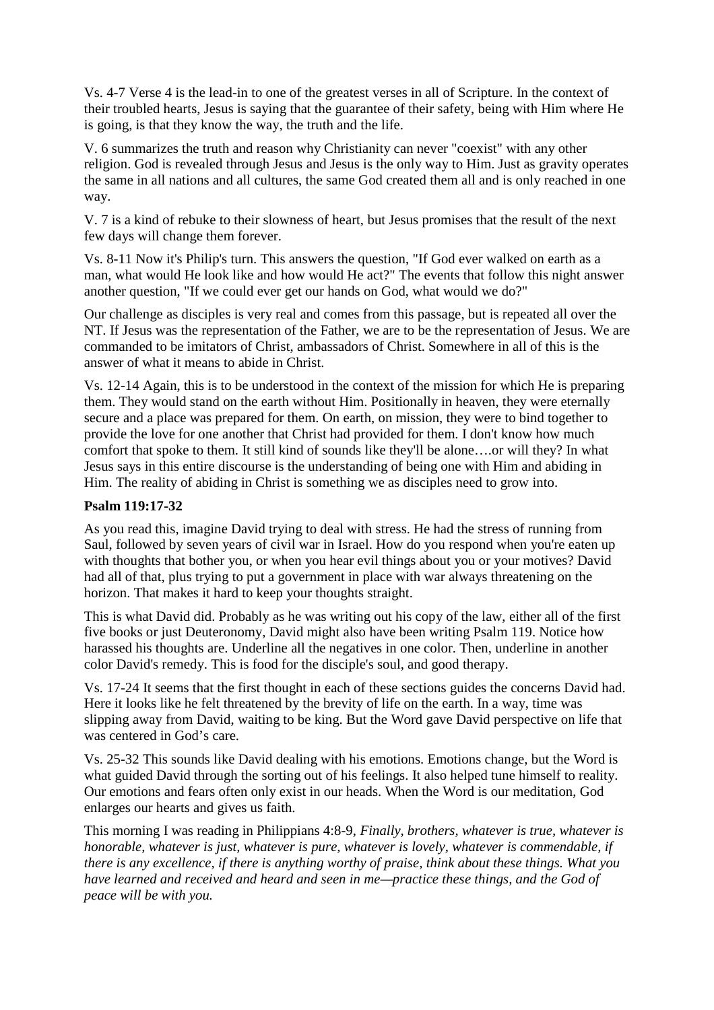Vs. 4-7 Verse 4 is the lead-in to one of the greatest verses in all of Scripture. In the context of their troubled hearts, Jesus is saying that the guarantee of their safety, being with Him where He is going, is that they know the way, the truth and the life.

V. 6 summarizes the truth and reason why Christianity can never "coexist" with any other religion. God is revealed through Jesus and Jesus is the only way to Him. Just as gravity operates the same in all nations and all cultures, the same God created them all and is only reached in one way.

V. 7 is a kind of rebuke to their slowness of heart, but Jesus promises that the result of the next few days will change them forever.

Vs. 8-11 Now it's Philip's turn. This answers the question, "If God ever walked on earth as a man, what would He look like and how would He act?" The events that follow this night answer another question, "If we could ever get our hands on God, what would we do?"

Our challenge as disciples is very real and comes from this passage, but is repeated all over the NT. If Jesus was the representation of the Father, we are to be the representation of Jesus. We are commanded to be imitators of Christ, ambassadors of Christ. Somewhere in all of this is the answer of what it means to abide in Christ.

Vs. 12-14 Again, this is to be understood in the context of the mission for which He is preparing them. They would stand on the earth without Him. Positionally in heaven, they were eternally secure and a place was prepared for them. On earth, on mission, they were to bind together to provide the love for one another that Christ had provided for them. I don't know how much comfort that spoke to them. It still kind of sounds like they'll be alone….or will they? In what Jesus says in this entire discourse is the understanding of being one with Him and abiding in Him. The reality of abiding in Christ is something we as disciples need to grow into.

# **Psalm 119:17-32**

As you read this, imagine David trying to deal with stress. He had the stress of running from Saul, followed by seven years of civil war in Israel. How do you respond when you're eaten up with thoughts that bother you, or when you hear evil things about you or your motives? David had all of that, plus trying to put a government in place with war always threatening on the horizon. That makes it hard to keep your thoughts straight.

This is what David did. Probably as he was writing out his copy of the law, either all of the first five books or just Deuteronomy, David might also have been writing Psalm 119. Notice how harassed his thoughts are. Underline all the negatives in one color. Then, underline in another color David's remedy. This is food for the disciple's soul, and good therapy.

Vs. 17-24 It seems that the first thought in each of these sections guides the concerns David had. Here it looks like he felt threatened by the brevity of life on the earth. In a way, time was slipping away from David, waiting to be king. But the Word gave David perspective on life that was centered in God's care.

Vs. 25-32 This sounds like David dealing with his emotions. Emotions change, but the Word is what guided David through the sorting out of his feelings. It also helped tune himself to reality. Our emotions and fears often only exist in our heads. When the Word is our meditation, God enlarges our hearts and gives us faith.

This morning I was reading in Philippians 4:8-9, *Finally, brothers, whatever is true, whatever is honorable, whatever is just, whatever is pure, whatever is lovely, whatever is commendable, if there is any excellence, if there is anything worthy of praise, think about these things. What you have learned and received and heard and seen in me—practice these things, and the God of peace will be with you.*